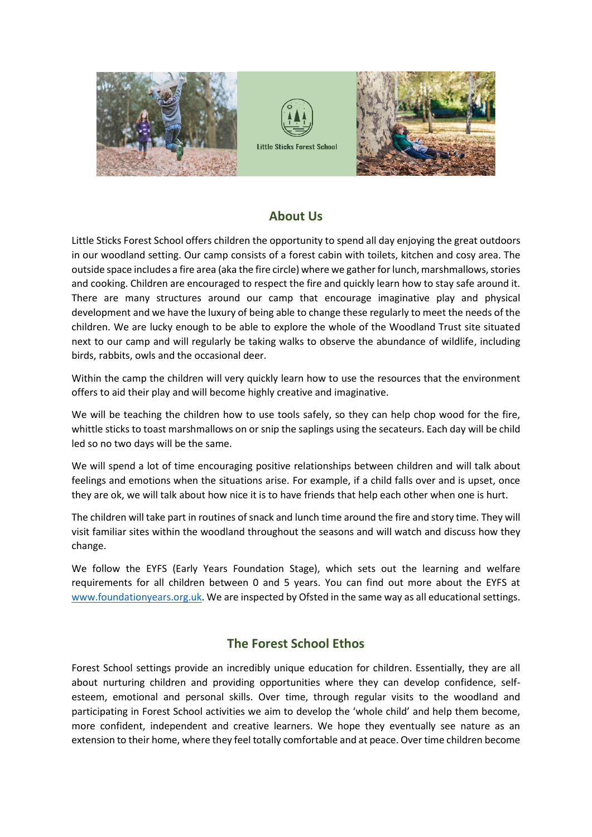





# **About Us**

Little Sticks Forest School offers children the opportunity to spend all day enjoying the great outdoors in our woodland setting. Our camp consists of a forest cabin with toilets, kitchen and cosy area. The outside space includes a fire area (aka the fire circle) where we gather for lunch, marshmallows, stories and cooking. Children are encouraged to respect the fire and quickly learn how to stay safe around it. There are many structures around our camp that encourage imaginative play and physical development and we have the luxury of being able to change these regularly to meet the needs of the children. We are lucky enough to be able to explore the whole of the Woodland Trust site situated next to our camp and will regularly be taking walks to observe the abundance of wildlife, including birds, rabbits, owls and the occasional deer.

Within the camp the children will very quickly learn how to use the resources that the environment offers to aid their play and will become highly creative and imaginative.

We will be teaching the children how to use tools safely, so they can help chop wood for the fire, whittle sticks to toast marshmallows on or snip the saplings using the secateurs. Each day will be child led so no two days will be the same.

We will spend a lot of time encouraging positive relationships between children and will talk about feelings and emotions when the situations arise. For example, if a child falls over and is upset, once they are ok, we will talk about how nice it is to have friends that help each other when one is hurt.

The children will take part in routines of snack and lunch time around the fire and story time. They will visit familiar sites within the woodland throughout the seasons and will watch and discuss how they change.

We follow the EYFS (Early Years Foundation Stage), which sets out the learning and welfare requirements for all children between 0 and 5 years. You can find out more about the EYFS at [www.foundationyears.org.uk.](http://www.foundationyears.org.uk/) We are inspected by Ofsted in the same way as all educational settings.

# **The Forest School Ethos**

Forest School settings provide an incredibly unique education for children. Essentially, they are all about nurturing children and providing opportunities where they can develop confidence, selfesteem, emotional and personal skills. Over time, through regular visits to the woodland and participating in Forest School activities we aim to develop the 'whole child' and help them become, more confident, independent and creative learners. We hope they eventually see nature as an extension to their home, where they feel totally comfortable and at peace. Over time children become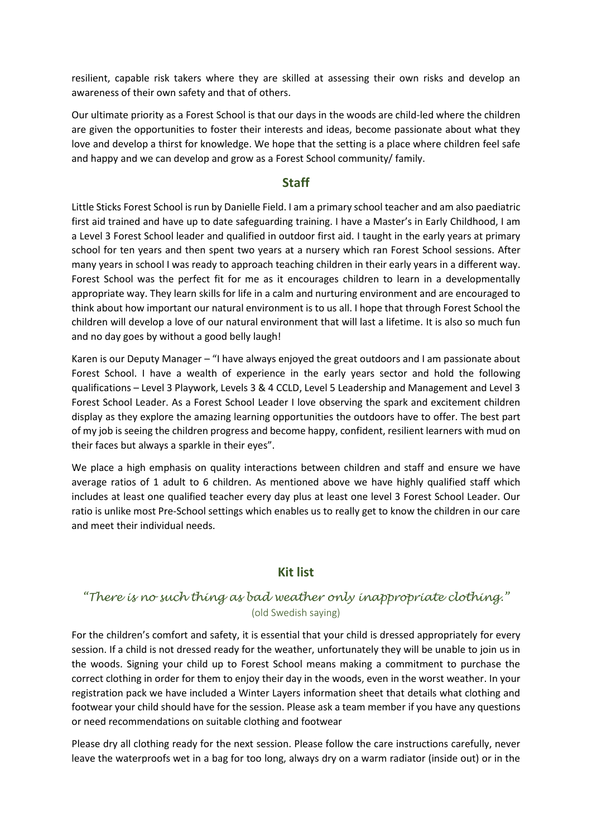resilient, capable risk takers where they are skilled at assessing their own risks and develop an awareness of their own safety and that of others.

Our ultimate priority as a Forest School is that our days in the woods are child-led where the children are given the opportunities to foster their interests and ideas, become passionate about what they love and develop a thirst for knowledge. We hope that the setting is a place where children feel safe and happy and we can develop and grow as a Forest School community/ family.

# **Staff**

Little Sticks Forest School is run by Danielle Field. I am a primary school teacher and am also paediatric first aid trained and have up to date safeguarding training. I have a Master's in Early Childhood, I am a Level 3 Forest School leader and qualified in outdoor first aid. I taught in the early years at primary school for ten years and then spent two years at a nursery which ran Forest School sessions. After many years in school I was ready to approach teaching children in their early years in a different way. Forest School was the perfect fit for me as it encourages children to learn in a developmentally appropriate way. They learn skills for life in a calm and nurturing environment and are encouraged to think about how important our natural environment is to us all. I hope that through Forest School the children will develop a love of our natural environment that will last a lifetime. It is also so much fun and no day goes by without a good belly laugh!

Karen is our Deputy Manager – "I have always enjoyed the great outdoors and I am passionate about Forest School. I have a wealth of experience in the early years sector and hold the following qualifications – Level 3 Playwork, Levels 3 & 4 CCLD, Level 5 Leadership and Management and Level 3 Forest School Leader. As a Forest School Leader I love observing the spark and excitement children display as they explore the amazing learning opportunities the outdoors have to offer. The best part of my job is seeing the children progress and become happy, confident, resilient learners with mud on their faces but always a sparkle in their eyes".

We place a high emphasis on quality interactions between children and staff and ensure we have average ratios of 1 adult to 6 children. As mentioned above we have highly qualified staff which includes at least one qualified teacher every day plus at least one level 3 Forest School Leader. Our ratio is unlike most Pre-School settings which enables us to really get to know the children in our care and meet their individual needs.

# **Kit list**

# *"There is no such thing as bad weather only inappropriate clothing."*  (old Swedish saying)

For the children's comfort and safety, it is essential that your child is dressed appropriately for every session. If a child is not dressed ready for the weather, unfortunately they will be unable to join us in the woods. Signing your child up to Forest School means making a commitment to purchase the correct clothing in order for them to enjoy their day in the woods, even in the worst weather. In your registration pack we have included a Winter Layers information sheet that details what clothing and footwear your child should have for the session. Please ask a team member if you have any questions or need recommendations on suitable clothing and footwear

Please dry all clothing ready for the next session. Please follow the care instructions carefully, never leave the waterproofs wet in a bag for too long, always dry on a warm radiator (inside out) or in the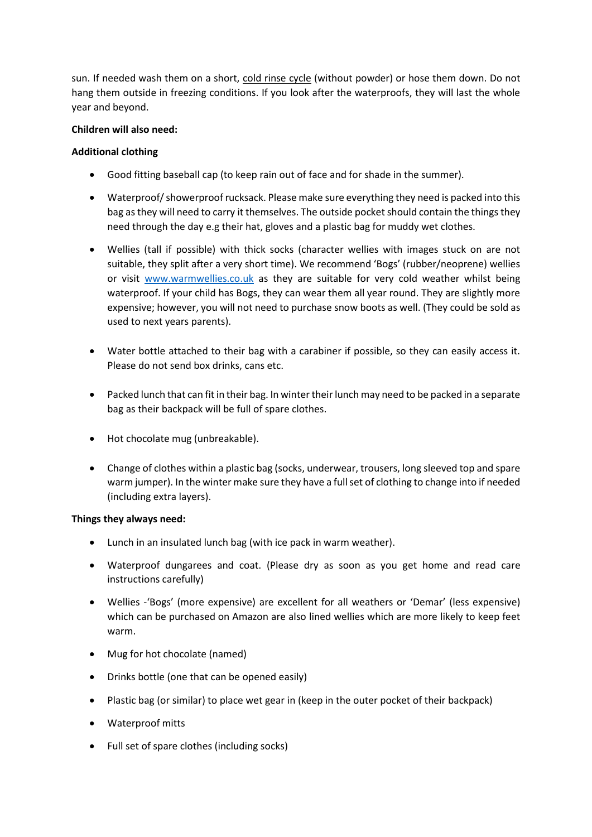sun. If needed wash them on a short, cold rinse cycle (without powder) or hose them down. Do not hang them outside in freezing conditions. If you look after the waterproofs, they will last the whole year and beyond.

## **Children will also need:**

## **Additional clothing**

- Good fitting baseball cap (to keep rain out of face and for shade in the summer).
- Waterproof/ showerproof rucksack. Please make sure everything they need is packed into this bag as they will need to carry it themselves. The outside pocket should contain the things they need through the day e.g their hat, gloves and a plastic bag for muddy wet clothes.
- Wellies (tall if possible) with thick socks (character wellies with images stuck on are not suitable, they split after a very short time). We recommend 'Bogs' (rubber/neoprene) wellies or visit [www.warmwellies.co.uk](http://www.warmwellies.co.uk/) as they are suitable for very cold weather whilst being waterproof. If your child has Bogs, they can wear them all year round. They are slightly more expensive; however, you will not need to purchase snow boots as well. (They could be sold as used to next years parents).
- Water bottle attached to their bag with a carabiner if possible, so they can easily access it. Please do not send box drinks, cans etc.
- Packed lunch that can fit in their bag. In winter their lunch may need to be packed in a separate bag as their backpack will be full of spare clothes.
- Hot chocolate mug (unbreakable).
- Change of clothes within a plastic bag (socks, underwear, trousers, long sleeved top and spare warm jumper). In the winter make sure they have a full set of clothing to change into if needed (including extra layers).

#### **Things they always need:**

- Lunch in an insulated lunch bag (with ice pack in warm weather).
- Waterproof dungarees and coat. (Please dry as soon as you get home and read care instructions carefully)
- Wellies -'Bogs' (more expensive) are excellent for all weathers or 'Demar' (less expensive) which can be purchased on Amazon are also lined wellies which are more likely to keep feet warm.
- Mug for hot chocolate (named)
- Drinks bottle (one that can be opened easily)
- Plastic bag (or similar) to place wet gear in (keep in the outer pocket of their backpack)
- Waterproof mitts
- Full set of spare clothes (including socks)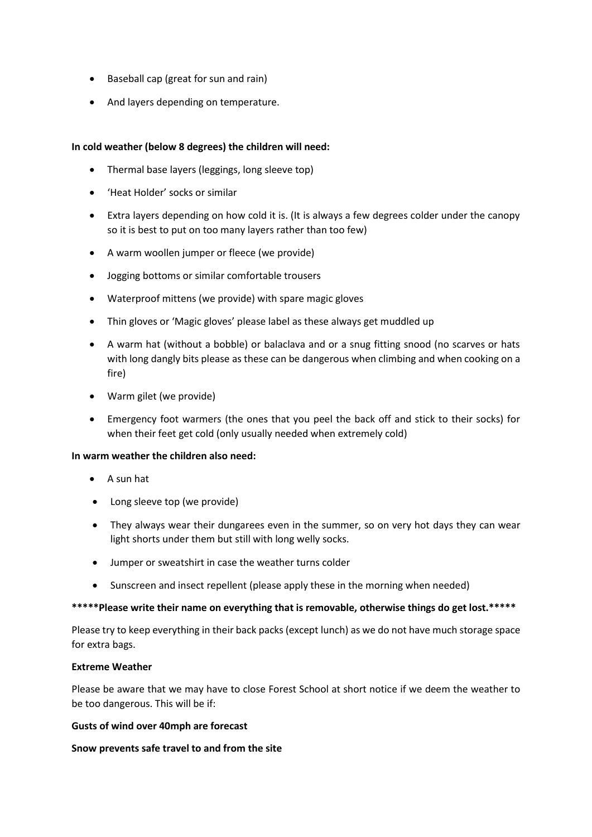- Baseball cap (great for sun and rain)
- And layers depending on temperature.

### **In cold weather (below 8 degrees) the children will need:**

- Thermal base layers (leggings, long sleeve top)
- 'Heat Holder' socks or similar
- Extra layers depending on how cold it is. (It is always a few degrees colder under the canopy so it is best to put on too many layers rather than too few)
- A warm woollen jumper or fleece (we provide)
- Jogging bottoms or similar comfortable trousers
- Waterproof mittens (we provide) with spare magic gloves
- Thin gloves or 'Magic gloves' please label as these always get muddled up
- A warm hat (without a bobble) or balaclava and or a snug fitting snood (no scarves or hats with long dangly bits please as these can be dangerous when climbing and when cooking on a fire)
- Warm gilet (we provide)
- Emergency foot warmers (the ones that you peel the back off and stick to their socks) for when their feet get cold (only usually needed when extremely cold)

### **In warm weather the children also need:**

- A sun hat
- Long sleeve top (we provide)
- They always wear their dungarees even in the summer, so on very hot days they can wear light shorts under them but still with long welly socks.
- Jumper or sweatshirt in case the weather turns colder
- Sunscreen and insect repellent (please apply these in the morning when needed)

#### **\*\*\*\*\*Please write their name on everything that is removable, otherwise things do get lost.\*\*\*\*\***

Please try to keep everything in their back packs (except lunch) as we do not have much storage space for extra bags.

#### **Extreme Weather**

Please be aware that we may have to close Forest School at short notice if we deem the weather to be too dangerous. This will be if:

### **Gusts of wind over 40mph are forecast**

#### **Snow prevents safe travel to and from the site**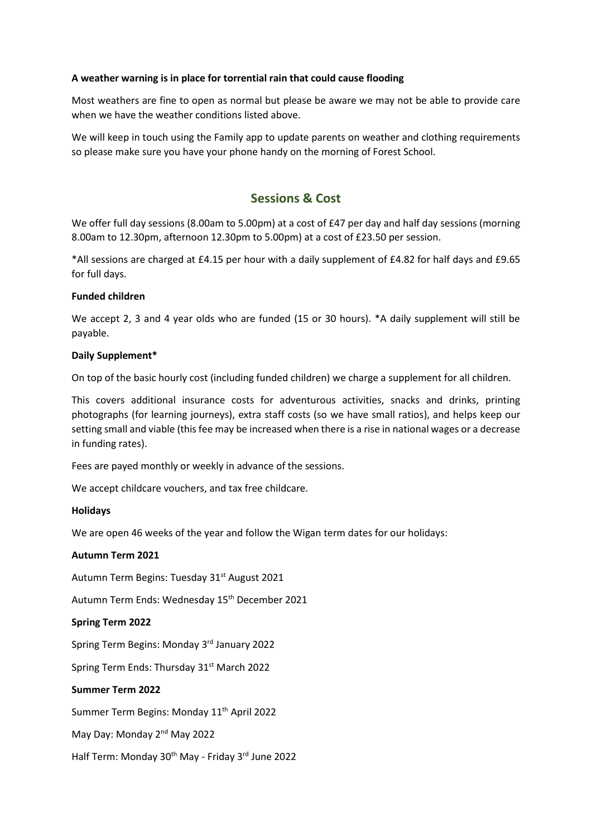#### **A weather warning is in place for torrential rain that could cause flooding**

Most weathers are fine to open as normal but please be aware we may not be able to provide care when we have the weather conditions listed above.

We will keep in touch using the Family app to update parents on weather and clothing requirements so please make sure you have your phone handy on the morning of Forest School.

# **Sessions & Cost**

We offer full day sessions (8.00am to 5.00pm) at a cost of £47 per day and half day sessions (morning 8.00am to 12.30pm, afternoon 12.30pm to 5.00pm) at a cost of £23.50 per session.

\*All sessions are charged at £4.15 per hour with a daily supplement of £4.82 for half days and £9.65 for full days.

#### **Funded children**

We accept 2, 3 and 4 year olds who are funded (15 or 30 hours). \*A daily supplement will still be payable.

#### **Daily Supplement\***

On top of the basic hourly cost (including funded children) we charge a supplement for all children.

This covers additional insurance costs for adventurous activities, snacks and drinks, printing photographs (for learning journeys), extra staff costs (so we have small ratios), and helps keep our setting small and viable (this fee may be increased when there is a rise in national wages or a decrease in funding rates).

Fees are payed monthly or weekly in advance of the sessions.

We accept childcare vouchers, and tax free childcare.

#### **Holidays**

We are open 46 weeks of the year and follow the Wigan term dates for our holidays:

#### **Autumn Term 2021**

Autumn Term Begins: Tuesday 31<sup>st</sup> August 2021

Autumn Term Ends: Wednesday 15<sup>th</sup> December 2021

#### **Spring Term 2022**

Spring Term Begins: Monday 3<sup>rd</sup> January 2022

Spring Term Ends: Thursday 31<sup>st</sup> March 2022

#### **Summer Term 2022**

Summer Term Begins: Monday 11<sup>th</sup> April 2022

May Day: Monday 2<sup>nd</sup> May 2022

Half Term: Monday 30<sup>th</sup> May - Friday 3<sup>rd</sup> June 2022